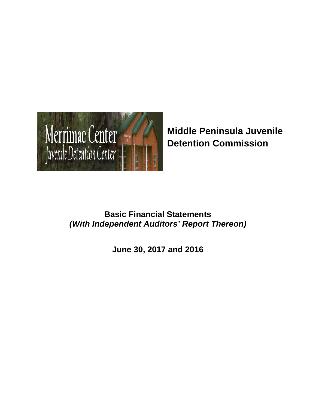

# **Basic Financial Statements** *(With Independent Auditors' Report Thereon)*

**June 30, 2017 and 2016**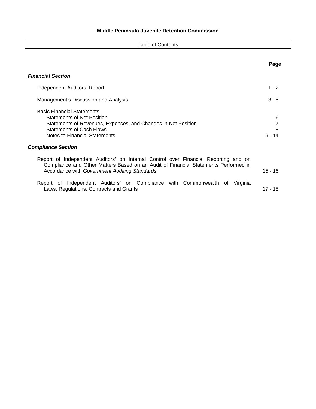Table of Contents

|                                                                                                                                                                                                                             | Page               |
|-----------------------------------------------------------------------------------------------------------------------------------------------------------------------------------------------------------------------------|--------------------|
| <b>Financial Section</b>                                                                                                                                                                                                    |                    |
| Independent Auditors' Report                                                                                                                                                                                                | $1 - 2$            |
| Management's Discussion and Analysis                                                                                                                                                                                        | $3 - 5$            |
| <b>Basic Financial Statements</b><br><b>Statements of Net Position</b><br>Statements of Revenues, Expenses, and Changes in Net Position<br><b>Statements of Cash Flows</b><br>Notes to Financial Statements                 | 6<br>8<br>$9 - 14$ |
| <b>Compliance Section</b>                                                                                                                                                                                                   |                    |
| Report of Independent Auditors' on Internal Control over Financial Reporting and on<br>Compliance and Other Matters Based on an Audit of Financial Statements Performed in<br>Accordance with Government Auditing Standards | $15 - 16$          |
| Report of Independent Auditors' on Compliance with Commonwealth of Virginia<br>Laws, Regulations, Contracts and Grants                                                                                                      | 17 - 18            |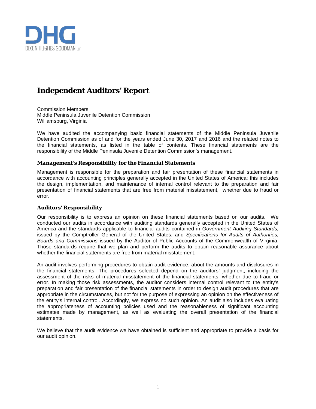

# **Independent Auditors' Report**

Commission Members Middle Peninsula Juvenile Detention Commission Williamsburg, Virginia

We have audited the accompanying basic financial statements of the Middle Peninsula Juvenile Detention Commission as of and for the years ended June 30, 2017 and 2016 and the related notes to the financial statements, as listed in the table of contents. These financial statements are the responsibility of the Middle Peninsula Juvenile Detention Commission's management.

# *Management's Responsibility for the Financial Statements*

Management is responsible for the preparation and fair presentation of these financial statements in accordance with accounting principles generally accepted in the United States of America; this includes the design, implementation, and maintenance of internal control relevant to the preparation and fair presentation of financial statements that are free from material misstatement, whether due to fraud or error.

# *Auditors' Responsibility*

Our responsibility is to express an opinion on these financial statements based on our audits. We conducted our audits in accordance with auditing standards generally accepted in the United States of America and the standards applicable to financial audits contained in *Government Auditing Standards,*  issued by the Comptroller General of the United States; and *Specifications for Audits of Authorities, Boards and Commissions* issued by the Auditor of Public Accounts of the Commonwealth of Virginia. Those standards require that we plan and perform the audits to obtain reasonable assurance about whether the financial statements are free from material misstatement.

An audit involves performing procedures to obtain audit evidence, about the amounts and disclosures in the financial statements. The procedures selected depend on the auditors' judgment, including the assessment of the risks of material misstatement of the financial statements, whether due to fraud or error. In making those risk assessments, the auditor considers internal control relevant to the entity's preparation and fair presentation of the financial statements in order to design audit procedures that are appropriate in the circumstances, but not for the purpose of expressing an opinion on the effectiveness of the entity's internal control. Accordingly, we express no such opinion. An audit also includes evaluating the appropriateness of accounting policies used and the reasonableness of significant accounting estimates made by management, as well as evaluating the overall presentation of the financial statements.

We believe that the audit evidence we have obtained is sufficient and appropriate to provide a basis for our audit opinion.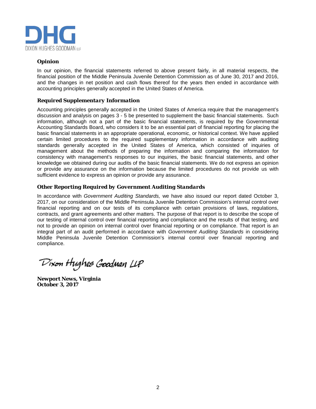

# *Opinion*

In our opinion, the financial statements referred to above present fairly, in all material respects, the financial position of the Middle Peninsula Juvenile Detention Commission as of June 30, 2017 and 2016, and the changes in net position and cash flows thereof for the years then ended in accordance with accounting principles generally accepted in the United States of America.

# *Required Supplementary Information*

Accounting principles generally accepted in the United States of America require that the management's discussion and analysis on pages 3 - 5 be presented to supplement the basic financial statements. Such information, although not a part of the basic financial statements, is required by the Governmental Accounting Standards Board, who considers it to be an essential part of financial reporting for placing the basic financial statements in an appropriate operational, economic, or historical context. We have applied certain limited procedures to the required supplementary information in accordance with auditing standards generally accepted in the United States of America, which consisted of inquiries of management about the methods of preparing the information and comparing the information for consistency with management's responses to our inquiries, the basic financial statements, and other knowledge we obtained during our audits of the basic financial statements. We do not express an opinion or provide any assurance on the information because the limited procedures do not provide us with sufficient evidence to express an opinion or provide any assurance.

# *Other Reporting Required by Government Auditing Standards*

In accordance with *Government Auditing Standards,* we have also issued our report dated October 3, 2017, on our consideration of the Middle Peninsula Juvenile Detention Commission's internal control over financial reporting and on our tests of its compliance with certain provisions of laws, regulations, contracts, and grant agreements and other matters. The purpose of that report is to describe the scope of our testing of internal control over financial reporting and compliance and the results of that testing, and not to provide an opinion on internal control over financial reporting or on compliance. That report is an integral part of an audit performed in accordance with *Government Auditing Standards* in considering Middle Peninsula Juvenile Detention Commission's internal control over financial reporting and compliance.

Dixon Hughes Goodman LLP

**Newport News, Virginia October 3, 2017**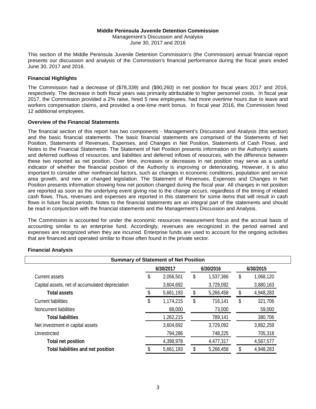Management's Discussion and Analysis June 30, 2017 and 2016

This section of the Middle Peninsula Juvenile Detention Commission's (the Commission) annual financial report presents our discussion and analysis of the Commission's financial performance during the fiscal years ended June 30, 2017 and 2016.

# **Financial Highlights**

The Commission had a decrease of (\$78,339) and (\$90,260) in net position for fiscal years 2017 and 2016, respectively. The decrease in both fiscal years was primarily attributable to higher personnel costs. In fiscal year 2017, the Commission provided a 2% raise, hired 5 new employees, had more overtime hours due to leave and workers compensation claims, and provided a one-time merit bonus. In fiscal year 2016, the Commission hired 12 additional employees.

### **Overview of the Financial Statements**

The financial section of this report has two components - Management's Discussion and Analysis (this section) and the basic financial statements. The basic financial statements are comprised of the Statements of Net Position, Statements of Revenues, Expenses, and Changes in Net Position, Statements of Cash Flows, and Notes to the Financial Statements. The Statement of Net Position presents information on the Authority's assets and deferred outflows of resources, and liabilities and deferred inflows of resources, with the difference between these two reported as net position. Over time, increases or decreases in net position may serve as a useful indicator of whether the financial position of the Authority is improving or deteriorating. However, it is also important to consider other nonfinancial factors, such as changes in economic conditions, population and service area growth, and new or changed legislation. The Statement of Revenues, Expenses and Changes in Net Position presents information showing how net position changed during the fiscal year. All changes in net position are reported as soon as the underlying event giving rise to the change occurs, regardless of the timing of related cash flows. Thus, revenues and expenses are reported in this statement for some items that will result in cash flows in future fiscal periods. Notes to the financial statements are an integral part of the statements and should be read in conjunction with the financial statements and the Management's Discussion and Analysis.

The Commission is accounted for under the economic resources measurement focus and the accrual basis of accounting similar to an enterprise fund. Accordingly, revenues are recognized in the period earned and expenses are recognized when they are incurred. Enterprise funds are used to account for the ongoing activities that are financed and operated similar to those often found in the private sector.

# **Financial Analysis**

| <b>Summary of Statement of Net Position</b>     |                        |           |    |           |    |           |
|-------------------------------------------------|------------------------|-----------|----|-----------|----|-----------|
|                                                 | 6/30/2017<br>6/30/2016 |           |    |           |    | 6/30/2015 |
| Current assets                                  | \$                     | 2,056,501 | \$ | 1,537,366 | \$ | 1,068,120 |
| Capital assets, net of accumulated depreciation |                        | 3,604,692 |    | 3,729,092 |    | 3,880,163 |
| <b>Total assets</b>                             |                        | 5,661,193 | \$ | 5,266,458 | \$ | 4,948,283 |
| <b>Current liabilities</b>                      | \$                     | 1,174,215 | \$ | 716,141   | \$ | 321,706   |
| Noncurrent liabilities                          |                        | 88,000    |    | 73,000    |    | 59,000    |
| <b>Total liabilities</b>                        |                        | 1,262,215 |    | 789,141   |    | 380,706   |
| Net investment in capital assets                |                        | 3,604,692 |    | 3,729,092 |    | 3,862,259 |
| Unrestricted                                    |                        | 794,286   |    | 748,225   |    | 705,318   |
| <b>Total net position</b>                       |                        | 4,398,978 |    | 4,477,317 |    | 4,567,577 |
| <b>Total liabilities and net position</b>       |                        | 5,661,193 | \$ | 5,266,458 | \$ | 4,948,283 |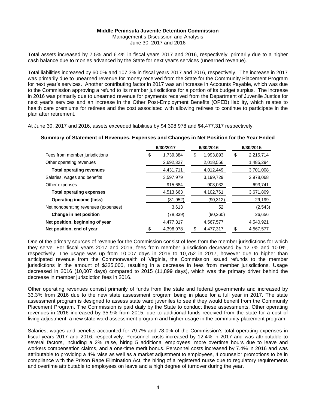Management's Discussion and Analysis June 30, 2017 and 2016

Total assets increased by 7.5% and 6.4% in fiscal years 2017 and 2016, respectively, primarily due to a higher cash balance due to monies advanced by the State for next year's services (unearned revenue).

Total liabilities increased by 60.0% and 107.3% in fiscal years 2017 and 2016, respectively. The increase in 2017 was primarily due to unearned revenue for money received from the State for the Community Placement Program for next year's services. Another contributing factor in 2017 was an increase in Accounts Payable, which was due to the Commission approving a refund to its member jurisdictions for a portion of its budget surplus. The increase in 2016 was primarily due to unearned revenue for payments received from the Department of Juvenile Justice for next year's services and an increase in the Other Post-Employment Benefits (OPEB) liability, which relates to health care premiums for retirees and the cost associated with allowing retirees to continue to participate in the plan after retirement.

At June 30, 2017 and 2016, assets exceeded liabilities by \$4,398,978 and \$4,477,317 respectively.

|                                      |   | 6/30/2017 |    | 6/30/2016 | 6/30/2015       |
|--------------------------------------|---|-----------|----|-----------|-----------------|
| Fees from member jurisdictions       | S | 1,739,384 | S  | 1,993,893 | \$<br>2,215,714 |
| Other operating revenues             |   | 2,692,327 |    | 2,018,556 | 1,485,294       |
| <b>Total operating revenues</b>      |   | 4,431,711 |    | 4,012,449 | 3,701,008       |
| Salaries, wages and benefits         |   | 3,597,979 |    | 3,199,729 | 2,978,068       |
| Other expenses                       |   | 915,684   |    | 903,032   | 693,741         |
| <b>Total operating expenses</b>      |   | 4,513,663 |    | 4,102,761 | 3,671,809       |
| <b>Operating income (loss)</b>       |   | (81, 952) |    | (90, 312) | 29,199          |
| Net nonoperating revenues (expenses) |   | 3,613     |    | 52        | (2,543)         |
| Change in net position               |   | (78, 339) |    | (90, 260) | 26,656          |
| Net position, beginning of year      |   | 4,477,317 |    | 4,567,577 | 4,540,921       |
| Net position, end of year            |   | 4,398,978 | \$ | 4,477,317 | \$<br>4,567,577 |

One of the primary sources of revenue for the Commission consist of fees from the member jurisdictions for which they serve. For fiscal years 2017 and 2016, fees from member jurisdiction decreased by 12.7% and 10.0%, respectively. The usage was up from 10,007 days in 2016 to 10,752 in 2017, however due to higher than anticipated revenue from the Commonwealth of Virginia, the Commission issued refunds to the member jurisdictions in the amount of \$325,000, resulting in a decrease in fees from member jurisdictions. Usage decreased in 2016 (10,007 days) compared to 2015 (11,899 days), which was the primary driver behind the decrease in member jurisdiction fees in 2016.

Other operating revenues consist primarily of funds from the state and federal governments and increased by 33.3% from 2016 due to the new state assessment program being in place for a full year in 2017. The state assessment program is designed to assess state ward juveniles to see if they would benefit from the Community Placement Program. The Commission is paid daily by the State to conduct these assessments. Other operating revenues in 2016 increased by 35.9% from 2015, due to additional funds received from the state for a cost of living adjustment, a new state ward assessment program and higher usage in the community placement program.

Salaries, wages and benefits accounted for 79.7% and 78.0% of the Commission's total operating expenses in fiscal years 2017 and 2016, respectively. Personnel costs increased by 12.4% in 2017 and was attributable to several factors, including a 2% raise, hiring 5 additional employees, more overtime hours due to leave and workers compensation claims, and a one-time merit bonus. Personnel costs increased by 7.4% in 2016 and was attributable to providing a 4% raise as well as a market adjustment to employees, 4 counselor promotions to be in compliance with the Prison Rape Elimination Act, the hiring of a registered nurse due to regulatory requirements and overtime attributable to employees on leave and a high degree of turnover during the year.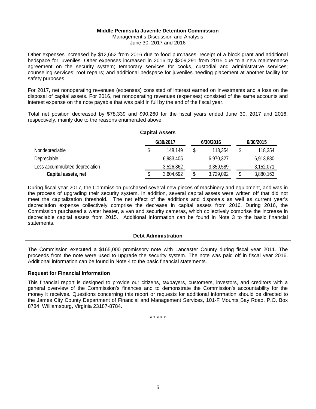Management's Discussion and Analysis June 30, 2017 and 2016

Other expenses increased by \$12,652 from 2016 due to food purchases, receipt of a block grant and additional bedspace for juveniles. Other expenses increased in 2016 by \$209,291 from 2015 due to a new maintenance agreement on the security system; temporary services for cooks, custodial and administrative services; counseling services; roof repairs; and additional bedspace for juveniles needing placement at another facility for safety purposes.

For 2017, net nonoperating revenues (expenses) consisted of interest earned on investments and a loss on the disposal of capital assets. For 2016, net nonoperating revenues (expenses) consisted of the same accounts and interest expense on the note payable that was paid in full by the end of the fiscal year.

Total net position decreased by \$78,339 and \$90,260 for the fiscal years ended June 30, 2017 and 2016, respectively, mainly due to the reasons enumerated above.

|                                | <b>Capital Assets</b> |           |           |
|--------------------------------|-----------------------|-----------|-----------|
|                                | 6/30/2017             | 6/30/2016 | 6/30/2015 |
| Nondepreciable                 | \$<br>148.149         | 118.354   | 118,354   |
| Depreciable                    | 6,983,405             | 6,970,327 | 6,913,880 |
| Less accummulated depreciation | 3,526,862             | 3,359,589 | 3,152,071 |
| Capital assets, net            | \$<br>3,604,692       | 3,729,092 | 3,880,163 |

During fiscal year 2017, the Commission purchased several new pieces of machinery and equipment, and was in the process of upgrading their security system. In addition, several capital assets were written off that did not meet the capitalization threshold. The net effect of the additions and disposals as well as current year's depreciation expense collectively comprise the decrease in capital assets from 2016. During 2016, the Commission purchased a water heater, a van and security cameras, which collectively comprise the increase in depreciable capital assets from 2015. Additional information can be found in Note 3 to the basic financial statements.

#### **Debt Administration**

The Commission executed a \$165,000 promissory note with Lancaster County during fiscal year 2011. The proceeds from the note were used to upgrade the security system. The note was paid off in fiscal year 2016. Additional information can be found in Note 4 to the basic financial statements.

#### **Request for Financial Information**

This financial report is designed to provide our citizens, taxpayers, customers, investors, and creditors with a general overview of the Commission's finances and to demonstrate the Commission's accountability for the money it receives. Questions concerning this report or requests for additional information should be directed to the James City County Department of Financial and Management Services, 101-F Mounts Bay Road, P.O. Box 8784, Williamsburg, Virginia 23187-8784.

\* \* \* \* \*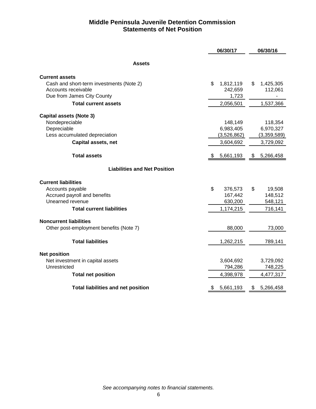# **Middle Peninsula Juvenile Detention Commission Statements of Net Position**

| <b>Assets</b><br><b>Current assets</b><br>\$<br>Cash and short-term investments (Note 2)<br>1,425,305<br>1,812,119<br>\$.<br>Accounts receivable<br>242,659<br>112,061<br>1,723<br>Due from James City County<br><b>Total current assets</b><br>2,056,501<br>1,537,366<br><b>Capital assets (Note 3)</b><br>Nondepreciable<br>148,149<br>118,354<br>Depreciable<br>6,970,327<br>6,983,405<br>Less accumulated depreciation<br>(3,526,862)<br>(3,359,589)<br><b>Capital assets, net</b><br>3,604,692<br>3,729,092<br><b>Total assets</b><br>5,266,458<br>5,661,193<br>\$<br><b>Liabilities and Net Position</b><br><b>Current liabilities</b><br>\$<br>\$<br>Accounts payable<br>376,573<br>19,508<br>Accrued payroll and benefits<br>167,442<br>148,512<br>Unearned revenue<br>630,200<br>548,121<br><b>Total current liabilities</b><br>716,141<br>1,174,215<br><b>Noncurrent liabilities</b><br>88,000<br>Other post-employment benefits (Note 7)<br>73,000<br><b>Total liabilities</b><br>1,262,215<br>789,141<br><b>Net position</b><br>Net investment in capital assets<br>3,604,692<br>3,729,092<br>Unrestricted<br>794,286<br>748,225<br><b>Total net position</b><br>4,477,317<br>4,398,978<br><b>Total liabilities and net position</b><br>5,266,458<br>5,661,193<br>\$ | 06/30/17 | 06/30/16 |
|----------------------------------------------------------------------------------------------------------------------------------------------------------------------------------------------------------------------------------------------------------------------------------------------------------------------------------------------------------------------------------------------------------------------------------------------------------------------------------------------------------------------------------------------------------------------------------------------------------------------------------------------------------------------------------------------------------------------------------------------------------------------------------------------------------------------------------------------------------------------------------------------------------------------------------------------------------------------------------------------------------------------------------------------------------------------------------------------------------------------------------------------------------------------------------------------------------------------------------------------------------------------------------|----------|----------|
|                                                                                                                                                                                                                                                                                                                                                                                                                                                                                                                                                                                                                                                                                                                                                                                                                                                                                                                                                                                                                                                                                                                                                                                                                                                                                  |          |          |
|                                                                                                                                                                                                                                                                                                                                                                                                                                                                                                                                                                                                                                                                                                                                                                                                                                                                                                                                                                                                                                                                                                                                                                                                                                                                                  |          |          |
|                                                                                                                                                                                                                                                                                                                                                                                                                                                                                                                                                                                                                                                                                                                                                                                                                                                                                                                                                                                                                                                                                                                                                                                                                                                                                  |          |          |
|                                                                                                                                                                                                                                                                                                                                                                                                                                                                                                                                                                                                                                                                                                                                                                                                                                                                                                                                                                                                                                                                                                                                                                                                                                                                                  |          |          |
|                                                                                                                                                                                                                                                                                                                                                                                                                                                                                                                                                                                                                                                                                                                                                                                                                                                                                                                                                                                                                                                                                                                                                                                                                                                                                  |          |          |
|                                                                                                                                                                                                                                                                                                                                                                                                                                                                                                                                                                                                                                                                                                                                                                                                                                                                                                                                                                                                                                                                                                                                                                                                                                                                                  |          |          |
|                                                                                                                                                                                                                                                                                                                                                                                                                                                                                                                                                                                                                                                                                                                                                                                                                                                                                                                                                                                                                                                                                                                                                                                                                                                                                  |          |          |
|                                                                                                                                                                                                                                                                                                                                                                                                                                                                                                                                                                                                                                                                                                                                                                                                                                                                                                                                                                                                                                                                                                                                                                                                                                                                                  |          |          |
|                                                                                                                                                                                                                                                                                                                                                                                                                                                                                                                                                                                                                                                                                                                                                                                                                                                                                                                                                                                                                                                                                                                                                                                                                                                                                  |          |          |
|                                                                                                                                                                                                                                                                                                                                                                                                                                                                                                                                                                                                                                                                                                                                                                                                                                                                                                                                                                                                                                                                                                                                                                                                                                                                                  |          |          |
|                                                                                                                                                                                                                                                                                                                                                                                                                                                                                                                                                                                                                                                                                                                                                                                                                                                                                                                                                                                                                                                                                                                                                                                                                                                                                  |          |          |
|                                                                                                                                                                                                                                                                                                                                                                                                                                                                                                                                                                                                                                                                                                                                                                                                                                                                                                                                                                                                                                                                                                                                                                                                                                                                                  |          |          |
|                                                                                                                                                                                                                                                                                                                                                                                                                                                                                                                                                                                                                                                                                                                                                                                                                                                                                                                                                                                                                                                                                                                                                                                                                                                                                  |          |          |
|                                                                                                                                                                                                                                                                                                                                                                                                                                                                                                                                                                                                                                                                                                                                                                                                                                                                                                                                                                                                                                                                                                                                                                                                                                                                                  |          |          |
|                                                                                                                                                                                                                                                                                                                                                                                                                                                                                                                                                                                                                                                                                                                                                                                                                                                                                                                                                                                                                                                                                                                                                                                                                                                                                  |          |          |
|                                                                                                                                                                                                                                                                                                                                                                                                                                                                                                                                                                                                                                                                                                                                                                                                                                                                                                                                                                                                                                                                                                                                                                                                                                                                                  |          |          |
|                                                                                                                                                                                                                                                                                                                                                                                                                                                                                                                                                                                                                                                                                                                                                                                                                                                                                                                                                                                                                                                                                                                                                                                                                                                                                  |          |          |
|                                                                                                                                                                                                                                                                                                                                                                                                                                                                                                                                                                                                                                                                                                                                                                                                                                                                                                                                                                                                                                                                                                                                                                                                                                                                                  |          |          |
|                                                                                                                                                                                                                                                                                                                                                                                                                                                                                                                                                                                                                                                                                                                                                                                                                                                                                                                                                                                                                                                                                                                                                                                                                                                                                  |          |          |
|                                                                                                                                                                                                                                                                                                                                                                                                                                                                                                                                                                                                                                                                                                                                                                                                                                                                                                                                                                                                                                                                                                                                                                                                                                                                                  |          |          |
|                                                                                                                                                                                                                                                                                                                                                                                                                                                                                                                                                                                                                                                                                                                                                                                                                                                                                                                                                                                                                                                                                                                                                                                                                                                                                  |          |          |
|                                                                                                                                                                                                                                                                                                                                                                                                                                                                                                                                                                                                                                                                                                                                                                                                                                                                                                                                                                                                                                                                                                                                                                                                                                                                                  |          |          |
|                                                                                                                                                                                                                                                                                                                                                                                                                                                                                                                                                                                                                                                                                                                                                                                                                                                                                                                                                                                                                                                                                                                                                                                                                                                                                  |          |          |
|                                                                                                                                                                                                                                                                                                                                                                                                                                                                                                                                                                                                                                                                                                                                                                                                                                                                                                                                                                                                                                                                                                                                                                                                                                                                                  |          |          |
|                                                                                                                                                                                                                                                                                                                                                                                                                                                                                                                                                                                                                                                                                                                                                                                                                                                                                                                                                                                                                                                                                                                                                                                                                                                                                  |          |          |
|                                                                                                                                                                                                                                                                                                                                                                                                                                                                                                                                                                                                                                                                                                                                                                                                                                                                                                                                                                                                                                                                                                                                                                                                                                                                                  |          |          |
|                                                                                                                                                                                                                                                                                                                                                                                                                                                                                                                                                                                                                                                                                                                                                                                                                                                                                                                                                                                                                                                                                                                                                                                                                                                                                  |          |          |

 *See accompanying notes to financial statements.*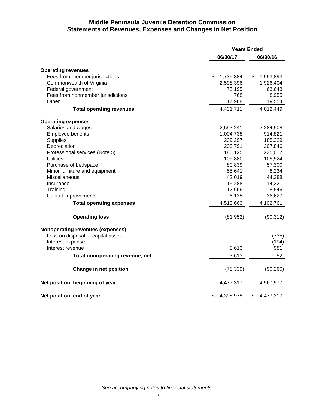# **Middle Peninsula Juvenile Detention Commission Statements of Revenues, Expenses and Changes in Net Position**

|                                         | <b>Years Ended</b> |                 |  |
|-----------------------------------------|--------------------|-----------------|--|
|                                         | 06/30/17           | 06/30/16        |  |
| <b>Operating revenues</b>               |                    |                 |  |
| Fees from member jurisdictions          | \$<br>1,739,384    | \$<br>1,993,893 |  |
| Commonwealth of Virginia                | 2,598,396          | 1,926,404       |  |
| Federal government                      | 75,195             | 63,643          |  |
| Fees from nonmember jurisdictions       | 768                | 8,955           |  |
| Other                                   | 17,968             | 19,554          |  |
| <b>Total operating revenues</b>         | 4,431,711          | 4,012,449       |  |
| <b>Operating expenses</b>               |                    |                 |  |
| Salaries and wages                      | 2,593,241          | 2,284,908       |  |
| Employee benefits                       | 1,004,738          | 914,821         |  |
| <b>Supplies</b>                         | 209,297            | 185,329         |  |
| Depreciation                            | 203,791            | 207,846         |  |
| Professional services (Note 5)          | 180,125            | 235,017         |  |
| <b>Utilities</b>                        | 109,880            | 105,524         |  |
| Purchase of bedspace                    | 80,839             | 57,300          |  |
| Minor furniture and equipment           | 55,641             | 8,234           |  |
| Miscellaneous                           | 42,019             | 44,388          |  |
| Insurance                               | 15,288             | 14,221          |  |
| Training                                | 12,666             | 8,546           |  |
| Capital improvements                    | 6,138              | 36,627          |  |
| <b>Total operating expenses</b>         | 4,513,663          | 4,102,761       |  |
| <b>Operating loss</b>                   | (81, 952)          | (90, 312)       |  |
| <b>Nonoperating revenues (expenses)</b> |                    |                 |  |
| Loss on disposal of capital assets      |                    | (735)           |  |
| Interest expense                        |                    | (194)           |  |
| Interest revenue                        | 3,613              | 981             |  |
| Total nonoperating revenue, net         | 3,613              | 52              |  |
| Change in net position                  | (78, 339)          | (90, 260)       |  |
| Net position, beginning of year         | 4,477,317          | 4,567,577       |  |
| Net position, end of year               | 4,398,978<br>\$    | \$4,477,317     |  |

*See accompanying notes to financial statements.*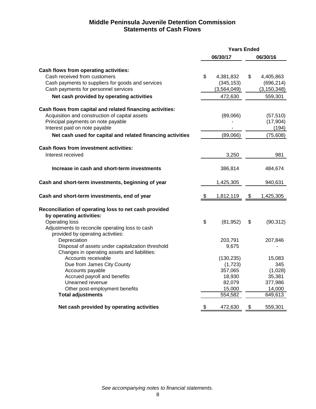# **Middle Peninsula Juvenile Detention Commission Statements of Cash Flows**

|                                                                                                   | <b>Years Ended</b> |                             |    |                             |
|---------------------------------------------------------------------------------------------------|--------------------|-----------------------------|----|-----------------------------|
|                                                                                                   |                    | 06/30/17                    |    | 06/30/16                    |
| Cash flows from operating activities:                                                             |                    |                             |    |                             |
| Cash received from customers                                                                      | \$                 | 4,381,832                   | \$ | 4,405,863                   |
| Cash payments to suppliers for goods and services<br>Cash payments for personnel services         |                    | (345, 153)<br>(3, 564, 049) |    | (696, 214)<br>(3, 150, 348) |
|                                                                                                   |                    |                             |    |                             |
| Net cash provided by operating activities                                                         |                    | 472,630                     |    | 559,301                     |
| Cash flows from capital and related financing activities:                                         |                    |                             |    |                             |
| Acquisition and construction of capital assets                                                    |                    | (89,066)                    |    | (57, 510)                   |
| Principal payments on note payable                                                                |                    |                             |    | (17, 904)                   |
| Interest paid on note payable                                                                     |                    |                             |    | (194)                       |
| Net cash used for capital and related financing activities                                        |                    | (89,066)                    |    | (75, 608)                   |
| <b>Cash flows from investment activities:</b>                                                     |                    |                             |    |                             |
| Interest received                                                                                 |                    | 3,250                       |    | 981                         |
| Increase in cash and short-term investments                                                       |                    | 386,814                     |    | 484,674                     |
| Cash and short-term investments, beginning of year                                                |                    | 1,425,305                   |    | 940,631                     |
| Cash and short-term investments, end of year                                                      | - \$               | 1,812,119                   | \$ | 1,425,305                   |
| Reconciliation of operating loss to net cash provided                                             |                    |                             |    |                             |
| by operating activities:                                                                          |                    |                             |    |                             |
| <b>Operating loss</b>                                                                             | \$                 | (81, 952)                   | \$ | (90, 312)                   |
| Adjustments to reconcile operating loss to cash<br>provided by operating activities:              |                    |                             |    |                             |
| Depreciation                                                                                      |                    | 203,791                     |    | 207,846                     |
| Disposal of assets under capitalization threshold<br>Changes in operating assets and liabilities: |                    | 9,675                       |    |                             |
| Accounts receivable                                                                               |                    | (130, 235)                  |    | 15,083                      |
| Due from James City County                                                                        |                    | (1,723)                     |    | 345                         |
| Accounts payable                                                                                  |                    | 357,065                     |    | (1,028)                     |
| Accrued payroll and benefits                                                                      |                    | 18,930                      |    | 35,381                      |
| Unearned revenue                                                                                  |                    | 82,079                      |    | 377,986                     |
| Other post-employment benefits                                                                    |                    | 15,000                      |    | 14,000                      |
| <b>Total adjustments</b>                                                                          |                    | $\overline{554,}582$        |    | 649,613                     |
| Net cash provided by operating activities                                                         | \$                 | 472,630                     | \$ | 559,301                     |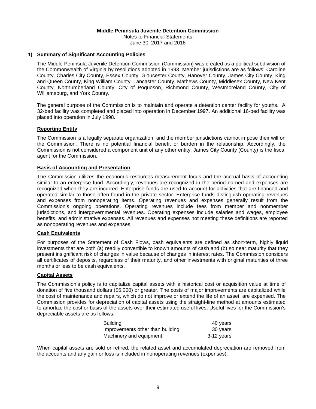Notes to Financial Statements June 30, 2017 and 2016

# **1) Summary of Significant Accounting Policies**

The Middle Peninsula Juvenile Detention Commission (Commission) was created as a political subdivision of the Commonwealth of Virginia by resolutions adopted in 1993. Member jurisdictions are as follows: Caroline County, Charles City County, Essex County, Gloucester County, Hanover County, James City County, King and Queen County, King William County, Lancaster County, Mathews County, Middlesex County, New Kent County, Northumberland County, City of Poquoson, Richmond County, Westmoreland County, City of Williamsburg, and York County.

The general purpose of the Commission is to maintain and operate a detention center facility for youths. A 32-bed facility was completed and placed into operation in December 1997. An additional 16-bed facility was placed into operation in July 1998.

# **Reporting Entity**

The Commission is a legally separate organization, and the member jurisdictions cannot impose their will on the Commission. There is no potential financial benefit or burden in the relationship. Accordingly, the Commission is not considered a component unit of any other entity. James City County (County) is the fiscal agent for the Commission.

# **Basis of Accounting and Presentation**

The Commission utilizes the economic resources measurement focus and the accrual basis of accounting similar to an enterprise fund. Accordingly, revenues are recognized in the period earned and expenses are recognized when they are incurred. Enterprise funds are used to account for activities that are financed and operated similar to those often found in the private sector. Enterprise funds distinguish operating revenues and expenses from nonoperating items. Operating revenues and expenses generally result from the Commission's ongoing operations. Operating revenues include fees from member and nonmember jurisdictions, and intergovernmental revenues. Operating expenses include salaries and wages, employee benefits, and administrative expenses. All revenues and expenses not meeting these definitions are reported as nonoperating revenues and expenses.

#### **Cash Equivalents**

For purposes of the Statement of Cash Flows, cash equivalents are defined as short-term, highly liquid investments that are both (a) readily convertible to known amounts of cash and (b) so near maturity that they present insignificant risk of changes in value because of changes in interest rates. The Commission considers all certificates of deposits, regardless of their maturity, and other investments with original maturities of three months or less to be cash equivalents.

#### **Capital Assets**

The Commission's policy is to capitalize capital assets with a historical cost or acquisition value at time of donation of five thousand dollars (\$5,000) or greater. The costs of major improvements are capitalized while the cost of maintenance and repairs, which do not improve or extend the life of an asset, are expensed. The Commission provides for depreciation of capital assets using the straight-line method at amounts estimated to amortize the cost or basis of the assets over their estimated useful lives. Useful lives for the Commission's depreciable assets are as follows:

| Building                         | 40 years   |
|----------------------------------|------------|
| Improvements other than building | 30 years   |
| Machinery and equipment          | 3-12 years |

When capital assets are sold or retired, the related asset and accumulated depreciation are removed from the accounts and any gain or loss is included in nonoperating revenues (expenses).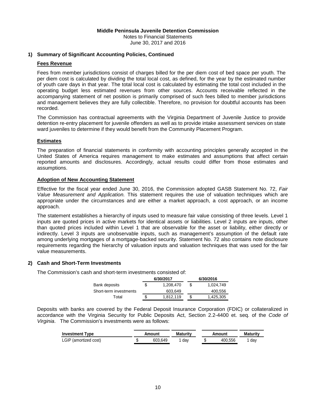Notes to Financial Statements June 30, 2017 and 2016

# **1) Summary of Significant Accounting Policies, Continued**

#### **Fees Revenue**

Fees from member jurisdictions consist of charges billed for the per diem cost of bed space per youth. The per diem cost is calculated by dividing the total local cost, as defined, for the year by the estimated number of youth care days in that year. The total local cost is calculated by estimating the total cost included in the operating budget less estimated revenues from other sources. Accounts receivable reflected in the accompanying statement of net position is primarily comprised of such fees billed to member jurisdictions and management believes they are fully collectible. Therefore, no provision for doubtful accounts has been recorded.

The Commission has contractual agreements with the Virginia Department of Juvenile Justice to provide detention re-entry placement for juvenile offenders as well as to provide intake assessment services on state ward juveniles to determine if they would benefit from the Community Placement Program.

#### **Estimates**

The preparation of financial statements in conformity with accounting principles generally accepted in the United States of America requires management to make estimates and assumptions that affect certain reported amounts and disclosures. Accordingly, actual results could differ from those estimates and assumptions.

#### **Adoption of New Accounting Statement**

Effective for the fiscal year ended June 30, 2016, the Commission adopted GASB Statement No. 72, *Fair Value Measurement and Application.* This statement requires the use of valuation techniques which are appropriate under the circumstances and are either a market approach, a cost approach, or an income approach.

The statement establishes a hierarchy of inputs used to measure fair value consisting of three levels. Level 1 inputs are quoted prices in active markets for identical assets or liabilities. Level 2 inputs are inputs, other than quoted prices included within Level 1 that are observable for the asset or liability, either directly or indirectly. Level 3 inputs are unobservable inputs, such as management's assumption of the default rate among underlying mortgages of a mortgage-backed security. Statement No. 72 also contains note disclosure requirements regarding the hierarchy of valuation inputs and valuation techniques that was used for the fair value measurements.

#### **2) Cash and Short-Term Investments**

The Commission's cash and short-term investments consisted of:

|                        |   | 6/30/2017 | 6/30/2016 |
|------------------------|---|-----------|-----------|
| Bank deposits          | S | 1.208.470 | 1.024.749 |
| Short-term investments |   | 603.649   | 400.556   |
| Total                  | S | 1.812.119 | 1,425,305 |

Deposits with banks are covered by the Federal Deposit Insurance Corporation (FDIC) or collateralized in accordance with the Virginia Security for Public Deposits Act, Section 2.2-4400 et. seq. of the *Code of Virginia*. The Commission's investments were as follows:

| <b>Investment Type</b> | Amount  | Maturity | Amount  | <b>Maturity</b> |
|------------------------|---------|----------|---------|-----------------|
| LGIP (amortized cost)  | 603.649 | dav      | 400.556 | dav             |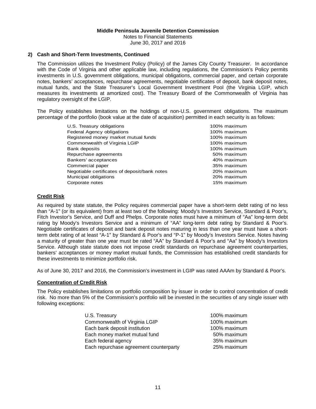Notes to Financial Statements

June 30, 2017 and 2016

#### **2) Cash and Short-Term Investments, Continued**

The Commission utilizes the Investment Policy (Policy) of the James City County Treasurer. In accordance with the Code of Virginia and other applicable law, including regulations, the Commission's Policy permits investments in U.S. government obligations, municipal obligations, commercial paper, and certain corporate notes, bankers' acceptances, repurchase agreements, negotiable certificates of deposit, bank deposit notes, mutual funds, and the State Treasurer's Local Government Investment Pool (the Virginia LGIP, which measures its investments at amortized cost). The Treasury Board of the Commonwealth of Virginia has regulatory oversight of the LGIP.

The Policy establishes limitations on the holdings of non-U.S. government obligations. The maximum percentage of the portfolio (book value at the date of acquisition) permitted in each security is as follows:

| U.S. Treasury obligations                     | 100% maximum |
|-----------------------------------------------|--------------|
| Federal Agency obligations                    | 100% maximum |
| Registered money market mutual funds          | 100% maximum |
| Commonwealth of Virginia LGIP                 | 100% maximum |
| Bank deposits                                 | 100% maximum |
| Repurchase agreements                         | 50% maximum  |
| Bankers' acceptances                          | 40% maximum  |
| Commercial paper                              | 35% maximum  |
| Negotiable certificates of deposit/bank notes | 20% maximum  |
| Municipal obligations                         | 20% maximum  |
| Corporate notes                               | 15% maximum  |
|                                               |              |

# **Credit Risk**

As required by state statute, the Policy requires commercial paper have a short-term debt rating of no less than "A-1" (or its equivalent) from at least two of the following: Moody's Investors Service, Standard & Poor's, Fitch Investor's Service, and Duff and Phelps. Corporate notes must have a minimum of "Aa" long-term debt rating by Moody's Investors Service and a minimum of "AA" long-term debt rating by Standard & Poor's. Negotiable certificates of deposit and bank deposit notes maturing in less than one year must have a shortterm debt rating of at least "A-1" by Standard & Poor's and "P-1" by Moody's Investors Service. Notes having a maturity of greater than one year must be rated "AA" by Standard & Poor's and "Aa" by Moody's Investors Service. Although state statute does not impose credit standards on repurchase agreement counterparties, bankers' acceptances or money market mutual funds, the Commission has established credit standards for these investments to minimize portfolio risk.

As of June 30, 2017 and 2016, the Commission's investment in LGIP was rated AAAm by Standard & Poor's.

# **Concentration of Credit Risk**

The Policy establishes limitations on portfolio composition by issuer in order to control concentration of credit risk. No more than 5% of the Commission's portfolio will be invested in the securities of any single issuer with following exceptions:

| U.S. Treasury                          | 100% maximum |
|----------------------------------------|--------------|
| Commonwealth of Virginia LGIP          | 100% maximum |
| Each bank deposit institution          | 100% maximum |
| Each money market mutual fund          | 50% maximum  |
| Each federal agency                    | 35% maximum  |
| Each repurchase agreement counterparty | 25% maximum  |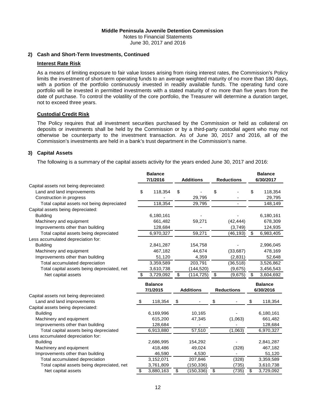Notes to Financial Statements June 30, 2017 and 2016

#### **2) Cash and Short-Term Investments, Continued**

### **Interest Rate Risk**

As a means of limiting exposure to fair value losses arising from rising interest rates, the Commission's Policy limits the investment of short-term operating funds to an average weighted maturity of no more than 180 days, with a portion of the portfolio continuously invested in readily available funds. The operating fund core portfolio will be invested in permitted investments with a stated maturity of no more than five years from the date of purchase. To control the volatility of the core portfolio, the Treasurer will determine a duration target, not to exceed three years.

# **Custodial Credit Risk**

The Policy requires that all investment securities purchased by the Commission or held as collateral on deposits or investments shall be held by the Commission or by a third-party custodial agent who may not otherwise be counterparty to the investment transaction. As of June 30, 2017 and 2016, all of the Commission's investments are held in a bank's trust department in the Commission's name.

# **3) Capital Assets**

The following is a summary of the capital assets activity for the years ended June 30, 2017 and 2016:

|                                             |     | <b>Balance</b>                                 |                  |                   |                         |           |           | <b>Balance</b> |
|---------------------------------------------|-----|------------------------------------------------|------------------|-------------------|-------------------------|-----------|-----------|----------------|
|                                             |     | 7/1/2016                                       | <b>Additions</b> |                   | <b>Reductions</b>       |           | 6/30/2017 |                |
| Capital assets not being depreciated:       |     |                                                |                  |                   |                         |           |           |                |
| Land and land improvements                  | \$  | 118,354                                        | \$               |                   | \$                      |           | \$        | 118,354        |
| Construction in progress                    |     |                                                |                  | 29,795            |                         |           |           | 29,795         |
| Total capital assets not being depreciated  |     | 118,354                                        |                  | 29,795            |                         |           |           | 148,149        |
| Capital assets being depreciated:           |     |                                                |                  |                   |                         |           |           |                |
| <b>Building</b>                             |     | 6,180,161                                      |                  |                   |                         |           |           | 6,180,161      |
| Machinery and equipment                     |     | 661,482                                        |                  | 59,271            |                         | (42, 444) |           | 678,309        |
| Improvements other than building            |     | 128,684                                        |                  |                   |                         | (3,749)   |           | 124,935        |
| Total capital assets being depreciated      |     | 6,970,327                                      |                  | 59,271            |                         | (46,193)  | \$        | 6,983,405      |
| Less accumulated depreciation for:          |     |                                                |                  |                   |                         |           |           |                |
| <b>Building</b>                             |     | 2,841,287                                      |                  | 154,758           |                         |           |           | 2,996,045      |
| Machinery and equipment                     |     | 467,182                                        |                  | 44,674            |                         | (33, 687) |           | 478,169        |
| Improvements other than building            |     | 51,120                                         |                  | 4,359             |                         | (2,831)   |           | 52,648         |
| Total accumulated depreciation              |     | 3,359,589                                      |                  | 203,791           |                         | (36, 518) |           | 3,526,862      |
| Total capital assets being depreciated, net |     | 3,610,738                                      |                  | (144, 520)        |                         | (9,675)   |           | 3,456,543      |
| Net capital assets                          | \$  | 3,729,092                                      | \$               | (114, 725)        | \$                      | (9,675)   | \$        | 3,604,692      |
|                                             |     |                                                |                  |                   |                         |           |           | <b>Balance</b> |
|                                             |     | <b>Balance</b><br>7/1/2015<br><b>Additions</b> |                  | <b>Reductions</b> |                         | 6/30/2016 |           |                |
| Capital assets not being depreciated:       |     |                                                |                  |                   |                         |           |           |                |
| Land and land improvements                  | -\$ | 118,354                                        | \$               |                   | \$                      |           | S         |                |
| Capital assets being depreciated:           |     |                                                |                  |                   |                         |           |           | 118,354        |
| <b>Building</b>                             |     | 6,169,996                                      |                  | 10,165            |                         |           |           | 6,180,161      |
| Machinery and equipment                     |     | 615,200                                        |                  | 47,345            |                         | (1,063)   |           | 661,482        |
| Improvements other than building            |     | 128,684                                        |                  |                   |                         |           |           | 128,684        |
| Total capital assets being depreciated      |     | 6,913,880                                      |                  | 57,510            |                         | (1,063)   |           | 6,970,327      |
| Less accumulated depreciation for:          |     |                                                |                  |                   |                         |           |           |                |
| <b>Building</b>                             |     | 2,686,995                                      |                  | 154,292           |                         |           |           | 2,841,287      |
| Machinery and equipment                     |     | 418,486                                        |                  | 49,024            |                         | (328)     |           | 467,182        |
| Improvements other than building            |     | 46,590                                         |                  | 4,530             |                         |           |           | 51,120         |
| Total accumulated depreciation              |     | 3,152,071                                      |                  | 207,846           |                         | (328)     |           | 3,359,589      |
| Total capital assets being depreciated, net |     | 3,761,809                                      |                  | (150, 336)        |                         | (735)     |           | 3,610,738      |
| Net capital assets                          | \$  | 3,880,163                                      | \$               | (150, 336)        | $\overline{\mathbf{e}}$ | (735)     | \$        | 3,729,092      |
|                                             |     |                                                |                  |                   |                         |           |           |                |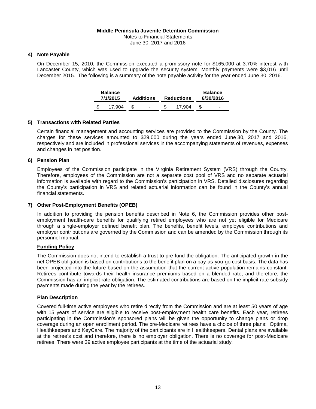Notes to Financial Statements June 30, 2017 and 2016

# **4) Note Payable**

On December 15, 2010, the Commission executed a promissory note for \$165,000 at 3.70% interest with Lancaster County, which was used to upgrade the security system. Monthly payments were \$3,016 until December 2015. The following is a summary of the note payable activity for the year ended June 30, 2016.

| <b>Balance</b><br>7/1/2015 | <b>Additions</b> |                          | <b>Reductions</b> | <b>Balance</b><br>6/30/2016 |   |  |
|----------------------------|------------------|--------------------------|-------------------|-----------------------------|---|--|
| 17.904                     |                  | $\overline{\phantom{a}}$ | 17.904            |                             | - |  |

# **5) Transactions with Related Parties**

Certain financial management and accounting services are provided to the Commission by the County. The charges for these services amounted to \$29,000 during the years ended June 30, 2017 and 2016, respectively and are included in professional services in the accompanying statements of revenues, expenses and changes in net position.

# **6) Pension Plan**

Employees of the Commission participate in the Virginia Retirement System (VRS) through the County. Therefore, employees of the Commission are not a separate cost pool of VRS and no separate actuarial information is available with regard to the Commission's participation in VRS. Detailed disclosures regarding the County's participation in VRS and related actuarial information can be found in the County's annual financial statements.

### **7) Other Post-Employment Benefits (OPEB)**

In addition to providing the pension benefits described in Note 6, the Commission provides other postemployment health-care benefits for qualifying retired employees who are not yet eligible for Medicare through a single-employer defined benefit plan. The benefits, benefit levels, employee contributions and employer contributions are governed by the Commission and can be amended by the Commission through its personnel manual.

#### **Funding Policy**

The Commission does not intend to establish a trust to pre-fund the obligation. The anticipated growth in the net OPEB obligation is based on contributions to the benefit plan on a pay-as-you-go cost basis. The data has been projected into the future based on the assumption that the current active population remains constant. Retirees contribute towards their health insurance premiums based on a blended rate, and therefore, the Commission has an implicit rate obligation. The estimated contributions are based on the implicit rate subsidy payments made during the year by the retirees.

# **Plan Description**

Covered full-time active employees who retire directly from the Commission and are at least 50 years of age with 15 years of service are eligible to receive post-employment health care benefits. Each year, retirees participating in the Commission's sponsored plans will be given the opportunity to change plans or drop coverage during an open enrollment period. The pre-Medicare retirees have a choice of three plans: Optima, Healthkeepers and KeyCare. The majority of the participants are in Healthkeepers. Dental plans are available at the retiree's cost and therefore, there is no employer obligation. There is no coverage for post-Medicare retirees. There were 39 active employee participants at the time of the actuarial study.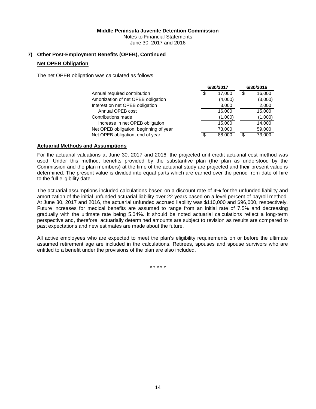Notes to Financial Statements June 30, 2017 and 2016

# **7) Other Post-Employment Benefits (OPEB), Continued**

### **Net OPEB Obligation**

The net OPEB obligation was calculated as follows:

|                                        |    | 6/30/2017 |    | 6/30/2016 |  |  |
|----------------------------------------|----|-----------|----|-----------|--|--|
| Annual required contribution           | \$ | 17,000    | S  | 16,000    |  |  |
| Amortization of net OPEB obligation    |    | (4,000)   |    | (3,000)   |  |  |
| Interest on net OPEB obligation        |    | 3,000     |    | 2,000     |  |  |
| Annual OPEB cost                       |    | 16,000    |    | 15,000    |  |  |
| Contributions made                     |    | (1,000)   |    | (1,000)   |  |  |
| Increase in net OPEB obligation        |    | 15,000    |    | 14,000    |  |  |
| Net OPEB obligation, beginning of year |    | 73,000    |    | 59,000    |  |  |
| Net OPEB obligation, end of year       | S. | 88,000    | £. | 73,000    |  |  |
|                                        |    |           |    |           |  |  |

#### **Actuarial Methods and Assumptions**

For the actuarial valuations at June 30, 2017 and 2016, the projected unit credit actuarial cost method was used. Under this method, benefits provided by the substantive plan (the plan as understood by the Commission and the plan members) at the time of the actuarial study are projected and their present value is determined. The present value is divided into equal parts which are earned over the period from date of hire to the full eligibility date.

The actuarial assumptions included calculations based on a discount rate of 4% for the unfunded liability and amortization of the initial unfunded actuarial liability over 22 years based on a level percent of payroll method. At June 30, 2017 and 2016, the actuarial unfunded accrued liability was \$110,000 and \$96,000, respectively. Future increases for medical benefits are assumed to range from an initial rate of 7.5% and decreasing gradually with the ultimate rate being 5.04%. It should be noted actuarial calculations reflect a long-term perspective and, therefore, actuarially determined amounts are subject to revision as results are compared to past expectations and new estimates are made about the future.

All active employees who are expected to meet the plan's eligibility requirements on or before the ultimate assumed retirement age are included in the calculations. Retirees, spouses and spouse survivors who are entitled to a benefit under the provisions of the plan are also included.

\* \* \* \* \*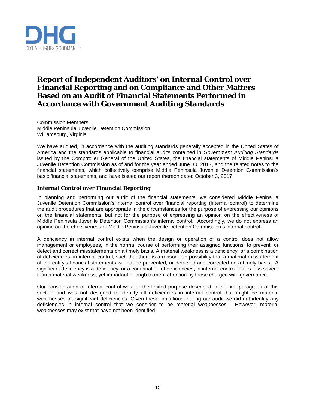

# **Report of Independent Auditors' on Internal Control over Financial Reporting and on Compliance and Other Matters Based on an Audit of Financial Statements Performed in Accordance with** *Government Auditing Standards*

Commission Members Middle Peninsula Juvenile Detention Commission Williamsburg, Virginia

We have audited, in accordance with the auditing standards generally accepted in the United States of America and the standards applicable to financial audits contained in *Government Auditing Standards* issued by the Comptroller General of the United States, the financial statements of Middle Peninsula Juvenile Detention Commission as of and for the year ended June 30, 2017, and the related notes to the financial statements, which collectively comprise Middle Peninsula Juvenile Detention Commission's basic financial statements, and have issued our report thereon dated October 3, 2017.

# *Internal Control over Financial Reporting*

In planning and performing our audit of the financial statements, we considered Middle Peninsula Juvenile Detention Commission's internal control over financial reporting (internal control) to determine the audit procedures that are appropriate in the circumstances for the purpose of expressing our opinions on the financial statements, but not for the purpose of expressing an opinion on the effectiveness of Middle Peninsula Juvenile Detention Commission's internal control. Accordingly, we do not express an opinion on the effectiveness of Middle Peninsula Juvenile Detention Commission's internal control.

A deficiency in internal control exists when the design or operation of a control does not allow management or employees, in the normal course of performing their assigned functions, to prevent, or detect and correct misstatements on a timely basis. A material weakness is a deficiency, or a combination of deficiencies, in internal control, such that there is a reasonable possibility that a material misstatement of the entity's financial statements will not be prevented, or detected and corrected on a timely basis. A significant deficiency is a deficiency, or a combination of deficiencies, in internal control that is less severe than a material weakness, yet important enough to merit attention by those charged with governance.

Our consideration of internal control was for the limited purpose described in the first paragraph of this section and was not designed to identify all deficiencies in internal control that might be material weaknesses or, significant deficiencies. Given these limitations, during our audit we did not identify any deficiencies in internal control that we consider to be material weaknesses. However, material weaknesses may exist that have not been identified.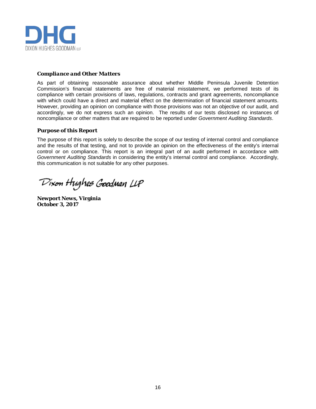

# *Compliance and Other Matters*

As part of obtaining reasonable assurance about whether Middle Peninsula Juvenile Detention Commission's financial statements are free of material misstatement, we performed tests of its compliance with certain provisions of laws, regulations, contracts and grant agreements, noncompliance with which could have a direct and material effect on the determination of financial statement amounts. However, providing an opinion on compliance with those provisions was not an objective of our audit, and accordingly, we do not express such an opinion. The results of our tests disclosed no instances of noncompliance or other matters that are required to be reported under *Government Auditing Standards*.

#### *Purpose of this Report*

The purpose of this report is solely to describe the scope of our testing of internal control and compliance and the results of that testing, and not to provide an opinion on the effectiveness of the entity's internal control or on compliance. This report is an integral part of an audit performed in accordance with *Government Auditing Standards* in considering the entity's internal control and compliance. Accordingly, this communication is not suitable for any other purposes.

Dixon Hughes Goodman LLP

**Newport News, Virginia October 3, 2017**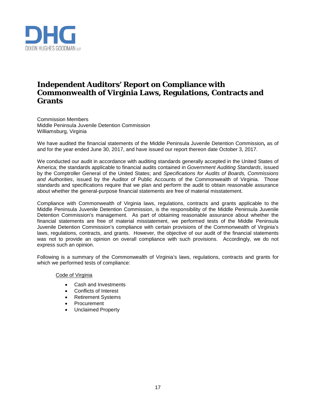

# **Independent Auditors' Report on Compliance with Commonwealth of Virginia Laws, Regulations, Contracts and Grants**

Commission Members Middle Peninsula Juvenile Detention Commission Williamsburg, Virginia

We have audited the financial statements of the Middle Peninsula Juvenile Detention Commission*,* as of and for the year ended June 30, 2017, and have issued our report thereon date October 3, 2017.

We conducted our audit in accordance with auditing standards generally accepted in the United States of America; the standards applicable to financial audits contained in *Government Auditing Standards*, issued by the Comptroller General of the United States; and *Specifications for Audits of Boards, Commissions and Authorities*, issued by the Auditor of Public Accounts of the Commonwealth of Virginia. Those standards and specifications require that we plan and perform the audit to obtain reasonable assurance about whether the general-purpose financial statements are free of material misstatement.

Compliance with Commonwealth of Virginia laws, regulations, contracts and grants applicable to the Middle Peninsula Juvenile Detention Commission, is the responsibility of the Middle Peninsula Juvenile Detention Commission's management. As part of obtaining reasonable assurance about whether the financial statements are free of material misstatement, we performed tests of the Middle Peninsula Juvenile Detention Commission's compliance with certain provisions of the Commonwealth of Virginia's laws, regulations, contracts, and grants. However, the objective of our audit of the financial statements was not to provide an opinion on overall compliance with such provisions. Accordingly, we do not express such an opinion.

Following is a summary of the Commonwealth of Virginia's laws, regulations, contracts and grants for which we performed tests of compliance:

#### Code of Virginia

- Cash and Investments
- Conflicts of Interest
- Retirement Systems
- Procurement
- Unclaimed Property